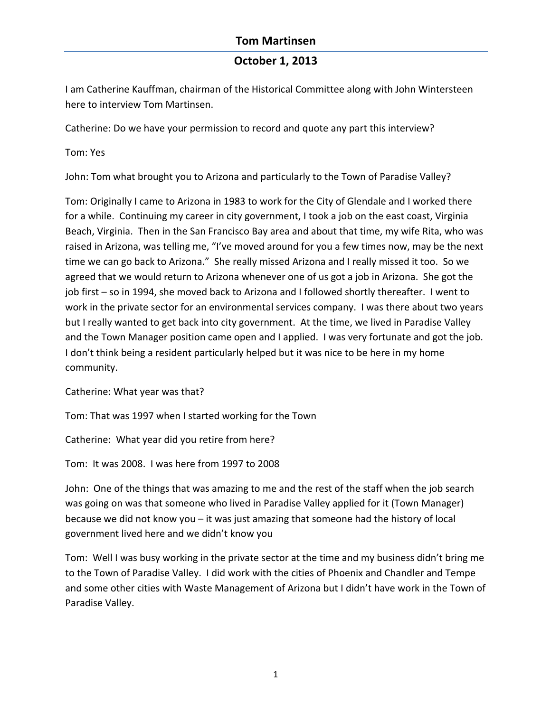### **October 1, 2013**

I am Catherine Kauffman, chairman of the Historical Committee along with John Wintersteen here to interview Tom Martinsen.

Catherine: Do we have your permission to record and quote any part this interview?

Tom: Yes

John: Tom what brought you to Arizona and particularly to the Town of Paradise Valley?

Tom: Originally I came to Arizona in 1983 to work for the City of Glendale and I worked there for a while. Continuing my career in city government, I took a job on the east coast, Virginia Beach, Virginia. Then in the San Francisco Bay area and about that time, my wife Rita, who was raised in Arizona, was telling me, "I've moved around for you a few times now, may be the next time we can go back to Arizona." She really missed Arizona and I really missed it too. So we agreed that we would return to Arizona whenever one of us got a job in Arizona. She got the job first - so in 1994, she moved back to Arizona and I followed shortly thereafter. I went to work in the private sector for an environmental services company. I was there about two years but I really wanted to get back into city government. At the time, we lived in Paradise Valley and the Town Manager position came open and I applied. I was very fortunate and got the job. I don't think being a resident particularly helped but it was nice to be here in my home community.

Catherine: What year was that?

Tom: That was 1997 when I started working for the Town

Catherine: What year did you retire from here?

Tom: It was 2008. I was here from 1997 to 2008

John: One of the things that was amazing to me and the rest of the staff when the job search was going on was that someone who lived in Paradise Valley applied for it (Town Manager) because we did not know you  $-$  it was just amazing that someone had the history of local government lived here and we didn't know you

Tom: Well I was busy working in the private sector at the time and my business didn't bring me to the Town of Paradise Valley. I did work with the cities of Phoenix and Chandler and Tempe and some other cities with Waste Management of Arizona but I didn't have work in the Town of Paradise Valley.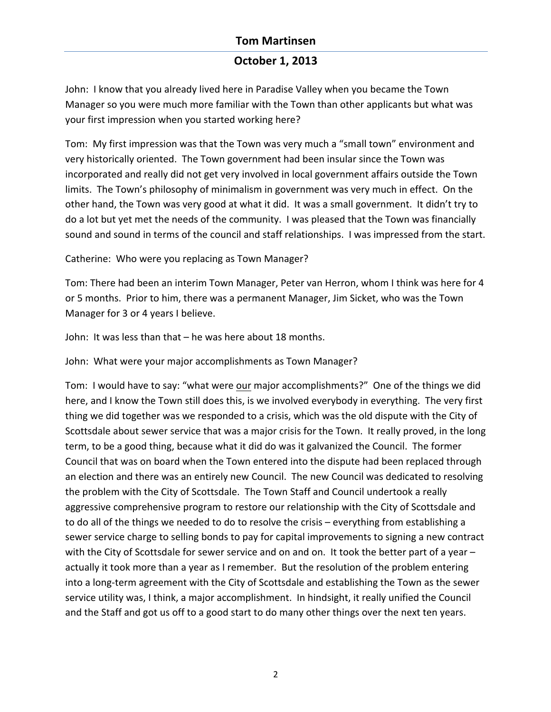# **October 1, 2013**

John: I know that you already lived here in Paradise Valley when you became the Town Manager so you were much more familiar with the Town than other applicants but what was your first impression when you started working here?

Tom: My first impression was that the Town was very much a "small town" environment and very historically oriented. The Town government had been insular since the Town was incorporated and really did not get very involved in local government affairs outside the Town limits. The Town's philosophy of minimalism in government was very much in effect. On the other hand, the Town was very good at what it did. It was a small government. It didn't try to do a lot but yet met the needs of the community. I was pleased that the Town was financially sound and sound in terms of the council and staff relationships. I was impressed from the start.

Catherine: Who were you replacing as Town Manager?

Tom: There had been an interim Town Manager, Peter van Herron, whom I think was here for 4 or 5 months. Prior to him, there was a permanent Manager, Jim Sicket, who was the Town Manager for 3 or 4 years I believe.

John: It was less than that  $-$  he was here about 18 months.

John: What were your major accomplishments as Town Manager?

Tom: I would have to say: "what were our major accomplishments?" One of the things we did here, and I know the Town still does this, is we involved everybody in everything. The very first thing we did together was we responded to a crisis, which was the old dispute with the City of Scottsdale about sewer service that was a major crisis for the Town. It really proved, in the long term, to be a good thing, because what it did do was it galvanized the Council. The former Council that was on board when the Town entered into the dispute had been replaced through an election and there was an entirely new Council. The new Council was dedicated to resolving the problem with the City of Scottsdale. The Town Staff and Council undertook a really aggressive comprehensive program to restore our relationship with the City of Scottsdale and to do all of the things we needed to do to resolve the crisis – everything from establishing a sewer service charge to selling bonds to pay for capital improvements to signing a new contract with the City of Scottsdale for sewer service and on and on. It took the better part of a year actually it took more than a year as I remember. But the resolution of the problem entering into a long-term agreement with the City of Scottsdale and establishing the Town as the sewer service utility was, I think, a major accomplishment. In hindsight, it really unified the Council and the Staff and got us off to a good start to do many other things over the next ten years.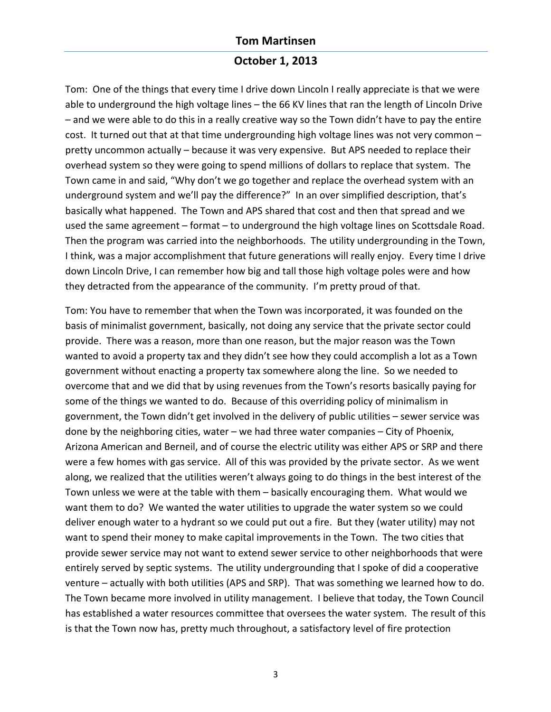#### **October 1, 2013**

Tom: One of the things that every time I drive down Lincoln I really appreciate is that we were able to underground the high voltage lines – the 66 KV lines that ran the length of Lincoln Drive  $-$  and we were able to do this in a really creative way so the Town didn't have to pay the entire cost. It turned out that at that time undergrounding high voltage lines was not very common  $$ pretty uncommon actually – because it was very expensive. But APS needed to replace their overhead system so they were going to spend millions of dollars to replace that system. The Town came in and said, "Why don't we go together and replace the overhead system with an underground system and we'll pay the difference?" In an over simplified description, that's basically what happened. The Town and APS shared that cost and then that spread and we used the same agreement - format - to underground the high voltage lines on Scottsdale Road. Then the program was carried into the neighborhoods. The utility undergrounding in the Town, I think, was a major accomplishment that future generations will really enjoy. Every time I drive down Lincoln Drive, I can remember how big and tall those high voltage poles were and how they detracted from the appearance of the community. I'm pretty proud of that.

Tom: You have to remember that when the Town was incorporated, it was founded on the basis of minimalist government, basically, not doing any service that the private sector could provide. There was a reason, more than one reason, but the major reason was the Town wanted to avoid a property tax and they didn't see how they could accomplish a lot as a Town government without enacting a property tax somewhere along the line. So we needed to overcome that and we did that by using revenues from the Town's resorts basically paying for some of the things we wanted to do. Because of this overriding policy of minimalism in government, the Town didn't get involved in the delivery of public utilities – sewer service was done by the neighboring cities, water  $-$  we had three water companies  $-$  City of Phoenix, Arizona American and Berneil, and of course the electric utility was either APS or SRP and there were a few homes with gas service. All of this was provided by the private sector. As we went along, we realized that the utilities weren't always going to do things in the best interest of the Town unless we were at the table with them – basically encouraging them. What would we want them to do? We wanted the water utilities to upgrade the water system so we could deliver enough water to a hydrant so we could put out a fire. But they (water utility) may not want to spend their money to make capital improvements in the Town. The two cities that provide sewer service may not want to extend sewer service to other neighborhoods that were entirely served by septic systems. The utility undergrounding that I spoke of did a cooperative venture – actually with both utilities (APS and SRP). That was something we learned how to do. The Town became more involved in utility management. I believe that today, the Town Council has established a water resources committee that oversees the water system. The result of this is that the Town now has, pretty much throughout, a satisfactory level of fire protection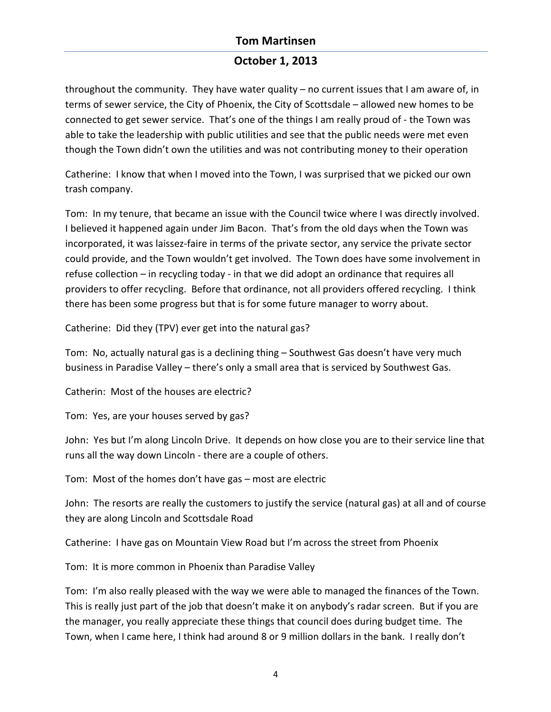## **October 1, 2013**

throughout the community. They have water quality  $-$  no current issues that I am aware of, in terms of sewer service, the City of Phoenix, the City of Scottsdale - allowed new homes to be connected to get sewer service. That's one of the things I am really proud of - the Town was able to take the leadership with public utilities and see that the public needs were met even though the Town didn't own the utilities and was not contributing money to their operation

Catherine: I know that when I moved into the Town, I was surprised that we picked our own trash company.

Tom: In my tenure, that became an issue with the Council twice where I was directly involved. I believed it happened again under Jim Bacon. That's from the old days when the Town was incorporated, it was laissez-faire in terms of the private sector, any service the private sector could provide, and the Town wouldn't get involved. The Town does have some involvement in refuse collection – in recycling today - in that we did adopt an ordinance that requires all providers to offer recycling. Before that ordinance, not all providers offered recycling. I think there has been some progress but that is for some future manager to worry about.

Catherine: Did they (TPV) ever get into the natural gas?

Tom: No, actually natural gas is a declining thing – Southwest Gas doesn't have very much business in Paradise Valley – there's only a small area that is serviced by Southwest Gas.

Catherin: Most of the houses are electric?

Tom: Yes, are your houses served by gas?

John: Yes but I'm along Lincoln Drive. It depends on how close you are to their service line that runs all the way down Lincoln - there are a couple of others.

Tom: Most of the homes don't have gas  $-$  most are electric

John: The resorts are really the customers to justify the service (natural gas) at all and of course they are along Lincoln and Scottsdale Road

Catherine: I have gas on Mountain View Road but I'm across the street from Phoenix

Tom: It is more common in Phoenix than Paradise Valley

Tom: I'm also really pleased with the way we were able to managed the finances of the Town. This is really just part of the job that doesn't make it on anybody's radar screen. But if you are the manager, you really appreciate these things that council does during budget time. The Town, when I came here, I think had around 8 or 9 million dollars in the bank. I really don't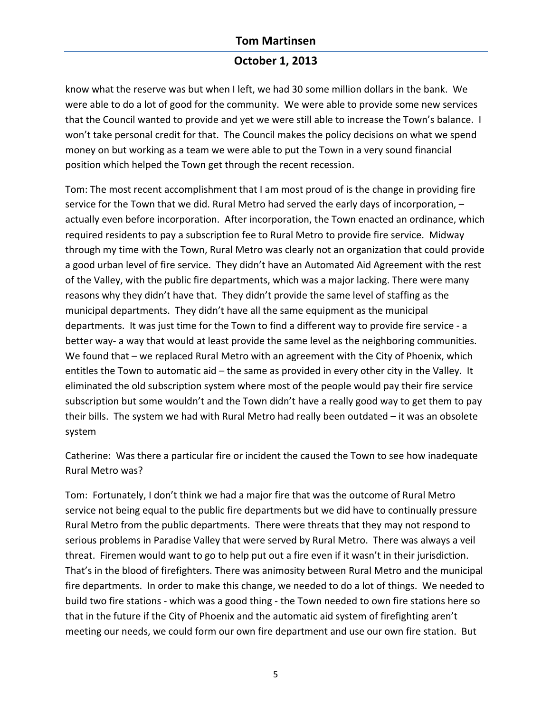## **October 1, 2013**

know what the reserve was but when I left, we had 30 some million dollars in the bank. We were able to do a lot of good for the community. We were able to provide some new services that the Council wanted to provide and yet we were still able to increase the Town's balance. I won't take personal credit for that. The Council makes the policy decisions on what we spend money on but working as a team we were able to put the Town in a very sound financial position which helped the Town get through the recent recession.

Tom: The most recent accomplishment that I am most proud of is the change in providing fire service for the Town that we did. Rural Metro had served the early days of incorporation,  $$ actually even before incorporation. After incorporation, the Town enacted an ordinance, which required residents to pay a subscription fee to Rural Metro to provide fire service. Midway through my time with the Town, Rural Metro was clearly not an organization that could provide a good urban level of fire service. They didn't have an Automated Aid Agreement with the rest of the Valley, with the public fire departments, which was a major lacking. There were many reasons why they didn't have that. They didn't provide the same level of staffing as the municipal departments. They didn't have all the same equipment as the municipal departments. It was just time for the Town to find a different way to provide fire service - a better way- a way that would at least provide the same level as the neighboring communities. We found that  $-$  we replaced Rural Metro with an agreement with the City of Phoenix, which entitles the Town to automatic aid  $-$  the same as provided in every other city in the Valley. It eliminated the old subscription system where most of the people would pay their fire service subscription but some wouldn't and the Town didn't have a really good way to get them to pay their bills. The system we had with Rural Metro had really been outdated  $-$  it was an obsolete system

Catherine: Was there a particular fire or incident the caused the Town to see how inadequate Rural Metro was?

Tom: Fortunately, I don't think we had a major fire that was the outcome of Rural Metro service not being equal to the public fire departments but we did have to continually pressure Rural Metro from the public departments. There were threats that they may not respond to serious problems in Paradise Valley that were served by Rural Metro. There was always a veil threat. Firemen would want to go to help put out a fire even if it wasn't in their jurisdiction. That's in the blood of firefighters. There was animosity between Rural Metro and the municipal fire departments. In order to make this change, we needed to do a lot of things. We needed to build two fire stations - which was a good thing - the Town needed to own fire stations here so that in the future if the City of Phoenix and the automatic aid system of firefighting aren't meeting our needs, we could form our own fire department and use our own fire station. But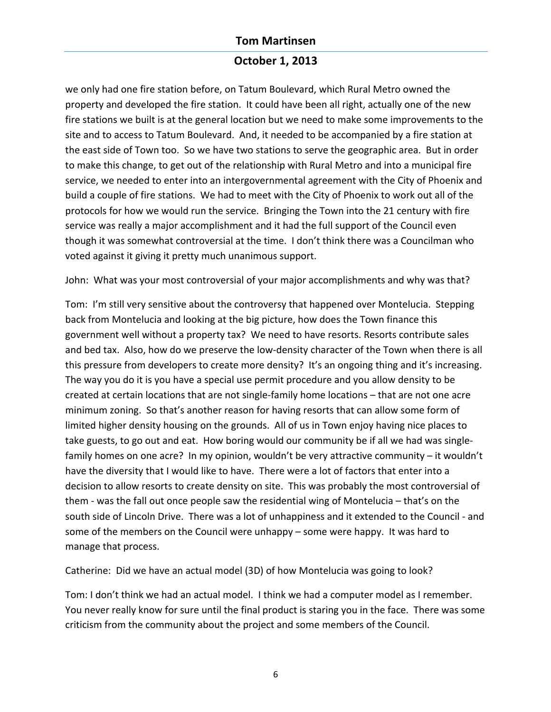## **October 1, 2013**

we only had one fire station before, on Tatum Boulevard, which Rural Metro owned the property and developed the fire station. It could have been all right, actually one of the new fire stations we built is at the general location but we need to make some improvements to the site and to access to Tatum Boulevard. And, it needed to be accompanied by a fire station at the east side of Town too. So we have two stations to serve the geographic area. But in order to make this change, to get out of the relationship with Rural Metro and into a municipal fire service, we needed to enter into an intergovernmental agreement with the City of Phoenix and build a couple of fire stations. We had to meet with the City of Phoenix to work out all of the protocols for how we would run the service. Bringing the Town into the 21 century with fire service was really a major accomplishment and it had the full support of the Council even though it was somewhat controversial at the time. I don't think there was a Councilman who voted against it giving it pretty much unanimous support.

John: What was your most controversial of your major accomplishments and why was that?

Tom: I'm still very sensitive about the controversy that happened over Montelucia. Stepping back from Montelucia and looking at the big picture, how does the Town finance this government well without a property tax? We need to have resorts. Resorts contribute sales and bed tax. Also, how do we preserve the low-density character of the Town when there is all this pressure from developers to create more density? It's an ongoing thing and it's increasing. The way you do it is you have a special use permit procedure and you allow density to be created at certain locations that are not single-family home locations - that are not one acre minimum zoning. So that's another reason for having resorts that can allow some form of limited higher density housing on the grounds. All of us in Town enjoy having nice places to take guests, to go out and eat. How boring would our community be if all we had was singlefamily homes on one acre? In my opinion, wouldn't be very attractive community  $-$  it wouldn't have the diversity that I would like to have. There were a lot of factors that enter into a decision to allow resorts to create density on site. This was probably the most controversial of them - was the fall out once people saw the residential wing of Montelucia - that's on the south side of Lincoln Drive. There was a lot of unhappiness and it extended to the Council - and some of the members on the Council were unhappy - some were happy. It was hard to manage that process.

Catherine: Did we have an actual model (3D) of how Montelucia was going to look?

Tom: I don't think we had an actual model. I think we had a computer model as I remember. You never really know for sure until the final product is staring you in the face. There was some criticism from the community about the project and some members of the Council.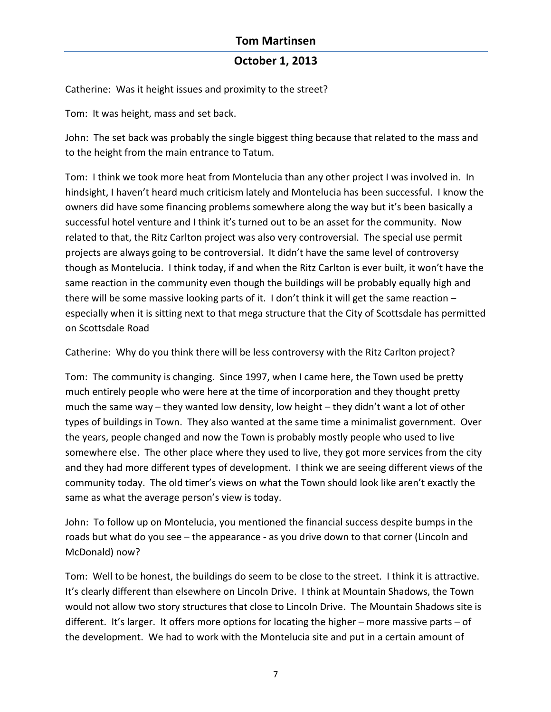### **October 1, 2013**

Catherine: Was it height issues and proximity to the street?

Tom: It was height, mass and set back.

John: The set back was probably the single biggest thing because that related to the mass and to the height from the main entrance to Tatum.

Tom: I think we took more heat from Montelucia than any other project I was involved in. In hindsight, I haven't heard much criticism lately and Montelucia has been successful. I know the owners did have some financing problems somewhere along the way but it's been basically a successful hotel venture and I think it's turned out to be an asset for the community. Now related to that, the Ritz Carlton project was also very controversial. The special use permit projects are always going to be controversial. It didn't have the same level of controversy though as Montelucia. I think today, if and when the Ritz Carlton is ever built, it won't have the same reaction in the community even though the buildings will be probably equally high and there will be some massive looking parts of it. I don't think it will get the same reaction  $$ especially when it is sitting next to that mega structure that the City of Scottsdale has permitted on Scottsdale Road

Catherine: Why do you think there will be less controversy with the Ritz Carlton project?

Tom: The community is changing. Since 1997, when I came here, the Town used be pretty much entirely people who were here at the time of incorporation and they thought pretty much the same way – they wanted low density, low height – they didn't want a lot of other types of buildings in Town. They also wanted at the same time a minimalist government. Over the years, people changed and now the Town is probably mostly people who used to live somewhere else. The other place where they used to live, they got more services from the city and they had more different types of development. I think we are seeing different views of the community today. The old timer's views on what the Town should look like aren't exactly the same as what the average person's view is today.

John: To follow up on Montelucia, you mentioned the financial success despite bumps in the roads but what do you see – the appearance - as you drive down to that corner (Lincoln and McDonald) now?

Tom: Well to be honest, the buildings do seem to be close to the street. I think it is attractive. It's clearly different than elsewhere on Lincoln Drive. I think at Mountain Shadows, the Town would not allow two story structures that close to Lincoln Drive. The Mountain Shadows site is different. It's larger. It offers more options for locating the higher – more massive parts – of the development. We had to work with the Montelucia site and put in a certain amount of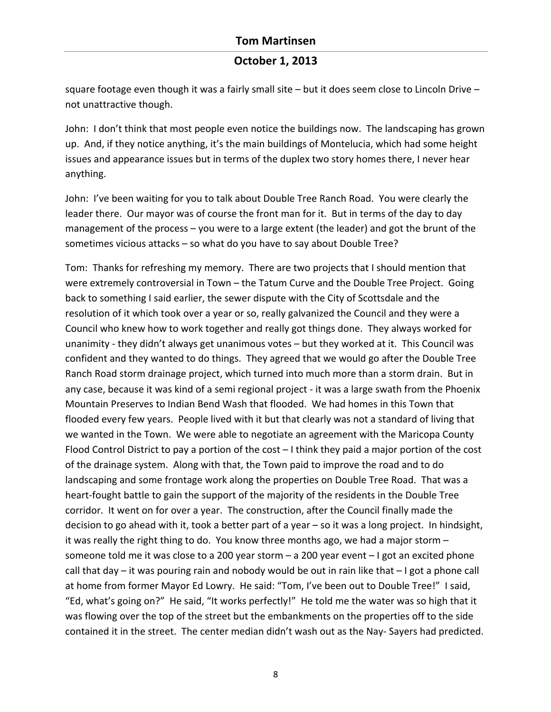# **October 1, 2013**

square footage even though it was a fairly small site  $-$  but it does seem close to Lincoln Drive  $$ not unattractive though.

John: I don't think that most people even notice the buildings now. The landscaping has grown up. And, if they notice anything, it's the main buildings of Montelucia, which had some height issues and appearance issues but in terms of the duplex two story homes there, I never hear anything.

John: I've been waiting for you to talk about Double Tree Ranch Road. You were clearly the leader there. Our mayor was of course the front man for it. But in terms of the day to day management of the process  $-$  you were to a large extent (the leader) and got the brunt of the sometimes vicious attacks - so what do you have to say about Double Tree?

Tom: Thanks for refreshing my memory. There are two projects that I should mention that were extremely controversial in Town – the Tatum Curve and the Double Tree Project. Going back to something I said earlier, the sewer dispute with the City of Scottsdale and the resolution of it which took over a year or so, really galvanized the Council and they were a Council who knew how to work together and really got things done. They always worked for unanimity - they didn't always get unanimous votes – but they worked at it. This Council was confident and they wanted to do things. They agreed that we would go after the Double Tree Ranch Road storm drainage project, which turned into much more than a storm drain. But in any case, because it was kind of a semi regional project - it was a large swath from the Phoenix Mountain Preserves to Indian Bend Wash that flooded. We had homes in this Town that flooded every few years. People lived with it but that clearly was not a standard of living that we wanted in the Town. We were able to negotiate an agreement with the Maricopa County Flood Control District to pay a portion of the cost  $-1$  think they paid a major portion of the cost of the drainage system. Along with that, the Town paid to improve the road and to do landscaping and some frontage work along the properties on Double Tree Road. That was a heart-fought battle to gain the support of the majority of the residents in the Double Tree corridor. It went on for over a year. The construction, after the Council finally made the decision to go ahead with it, took a better part of a year  $-$  so it was a long project. In hindsight, it was really the right thing to do. You know three months ago, we had a major storm  $$ someone told me it was close to a 200 year storm  $-$  a 200 year event  $-$  I got an excited phone call that  $day$  – it was pouring rain and nobody would be out in rain like that  $-1$  got a phone call at home from former Mayor Ed Lowry. He said: "Tom, I've been out to Double Tree!" I said, "Ed, what's going on?" He said, "It works perfectly!" He told me the water was so high that it was flowing over the top of the street but the embankments on the properties off to the side contained it in the street. The center median didn't wash out as the Nay- Sayers had predicted.

8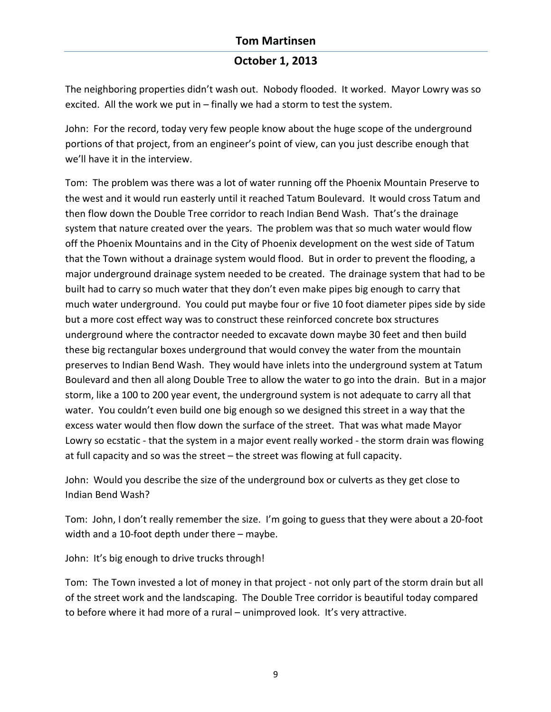## **October 1, 2013**

The neighboring properties didn't wash out. Nobody flooded. It worked. Mayor Lowry was so excited. All the work we put in  $-$  finally we had a storm to test the system.

John: For the record, today very few people know about the huge scope of the underground portions of that project, from an engineer's point of view, can you just describe enough that we'll have it in the interview.

Tom: The problem was there was a lot of water running off the Phoenix Mountain Preserve to the west and it would run easterly until it reached Tatum Boulevard. It would cross Tatum and then flow down the Double Tree corridor to reach Indian Bend Wash. That's the drainage system that nature created over the years. The problem was that so much water would flow off the Phoenix Mountains and in the City of Phoenix development on the west side of Tatum that the Town without a drainage system would flood. But in order to prevent the flooding, a major underground drainage system needed to be created. The drainage system that had to be built had to carry so much water that they don't even make pipes big enough to carry that much water underground. You could put maybe four or five 10 foot diameter pipes side by side but a more cost effect way was to construct these reinforced concrete box structures underground where the contractor needed to excavate down maybe 30 feet and then build these big rectangular boxes underground that would convey the water from the mountain preserves to Indian Bend Wash. They would have inlets into the underground system at Tatum Boulevard and then all along Double Tree to allow the water to go into the drain. But in a major storm, like a 100 to 200 year event, the underground system is not adequate to carry all that water. You couldn't even build one big enough so we designed this street in a way that the excess water would then flow down the surface of the street. That was what made Mayor Lowry so ecstatic - that the system in a major event really worked - the storm drain was flowing at full capacity and so was the street  $-$  the street was flowing at full capacity.

John: Would you describe the size of the underground box or culverts as they get close to Indian Bend Wash?

Tom: John, I don't really remember the size. I'm going to guess that they were about a 20-foot width and a 10-foot depth under there  $-$  maybe.

John: It's big enough to drive trucks through!

Tom: The Town invested a lot of money in that project - not only part of the storm drain but all of the street work and the landscaping. The Double Tree corridor is beautiful today compared to before where it had more of a rural – unimproved look. It's very attractive.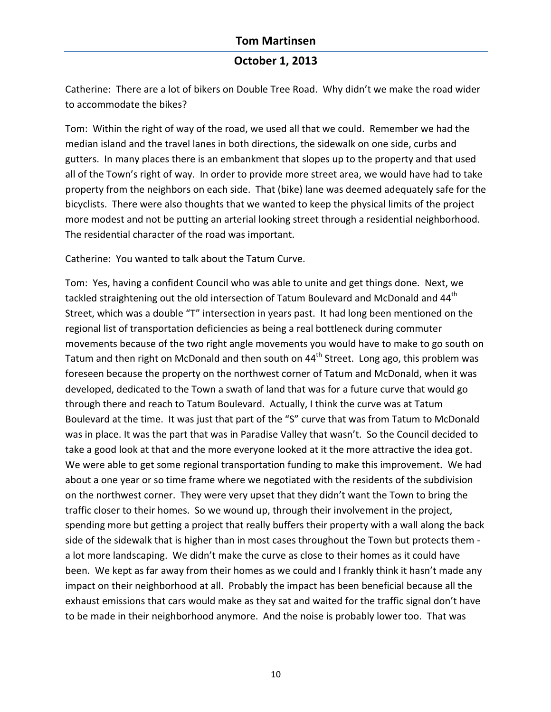### **October 1, 2013**

Catherine: There are a lot of bikers on Double Tree Road. Why didn't we make the road wider to accommodate the bikes?

Tom: Within the right of way of the road, we used all that we could. Remember we had the median island and the travel lanes in both directions, the sidewalk on one side, curbs and gutters. In many places there is an embankment that slopes up to the property and that used all of the Town's right of way. In order to provide more street area, we would have had to take property from the neighbors on each side. That (bike) lane was deemed adequately safe for the bicyclists. There were also thoughts that we wanted to keep the physical limits of the project more modest and not be putting an arterial looking street through a residential neighborhood. The residential character of the road was important.

Catherine: You wanted to talk about the Tatum Curve.

Tom: Yes, having a confident Council who was able to unite and get things done. Next, we tackled straightening out the old intersection of Tatum Boulevard and McDonald and 44<sup>th</sup> Street, which was a double "T" intersection in years past. It had long been mentioned on the regional list of transportation deficiencies as being a real bottleneck during commuter movements because of the two right angle movements you would have to make to go south on Tatum and then right on McDonald and then south on  $44<sup>th</sup>$  Street. Long ago, this problem was foreseen because the property on the northwest corner of Tatum and McDonald, when it was developed, dedicated to the Town a swath of land that was for a future curve that would go through there and reach to Tatum Boulevard. Actually, I think the curve was at Tatum Boulevard at the time. It was just that part of the "S" curve that was from Tatum to McDonald was in place. It was the part that was in Paradise Valley that wasn't. So the Council decided to take a good look at that and the more everyone looked at it the more attractive the idea got. We were able to get some regional transportation funding to make this improvement. We had about a one year or so time frame where we negotiated with the residents of the subdivision on the northwest corner. They were very upset that they didn't want the Town to bring the traffic closer to their homes. So we wound up, through their involvement in the project, spending more but getting a project that really buffers their property with a wall along the back side of the sidewalk that is higher than in most cases throughout the Town but protects them a lot more landscaping. We didn't make the curve as close to their homes as it could have been. We kept as far away from their homes as we could and I frankly think it hasn't made any impact on their neighborhood at all. Probably the impact has been beneficial because all the exhaust emissions that cars would make as they sat and waited for the traffic signal don't have to be made in their neighborhood anymore. And the noise is probably lower too. That was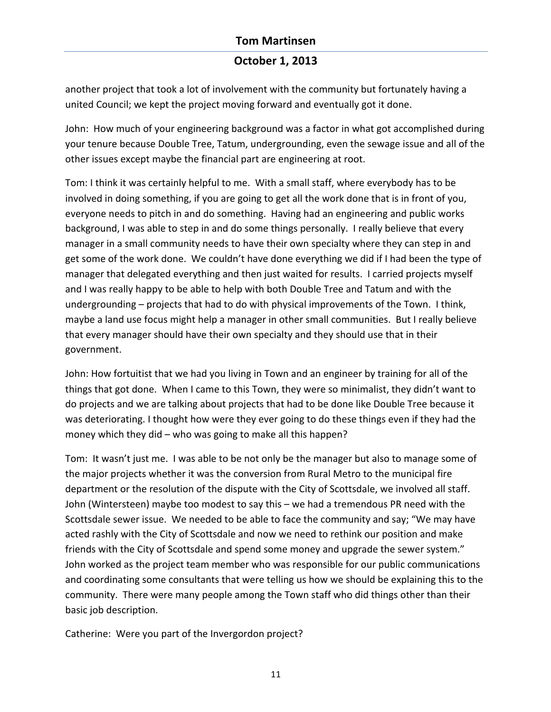# **October 1, 2013**

another project that took a lot of involvement with the community but fortunately having a united Council; we kept the project moving forward and eventually got it done.

John: How much of your engineering background was a factor in what got accomplished during your tenure because Double Tree, Tatum, undergrounding, even the sewage issue and all of the other issues except maybe the financial part are engineering at root.

Tom: I think it was certainly helpful to me. With a small staff, where everybody has to be involved in doing something, if you are going to get all the work done that is in front of you, everyone needs to pitch in and do something. Having had an engineering and public works background, I was able to step in and do some things personally. I really believe that every manager in a small community needs to have their own specialty where they can step in and get some of the work done. We couldn't have done everything we did if I had been the type of manager that delegated everything and then just waited for results. I carried projects myself and I was really happy to be able to help with both Double Tree and Tatum and with the undergrounding – projects that had to do with physical improvements of the Town. I think, maybe a land use focus might help a manager in other small communities. But I really believe that every manager should have their own specialty and they should use that in their government.

John: How fortuitist that we had you living in Town and an engineer by training for all of the things that got done. When I came to this Town, they were so minimalist, they didn't want to do projects and we are talking about projects that had to be done like Double Tree because it was deteriorating. I thought how were they ever going to do these things even if they had the money which they did – who was going to make all this happen?

Tom: It wasn't just me. I was able to be not only be the manager but also to manage some of the major projects whether it was the conversion from Rural Metro to the municipal fire department or the resolution of the dispute with the City of Scottsdale, we involved all staff. John (Wintersteen) maybe too modest to say this - we had a tremendous PR need with the Scottsdale sewer issue. We needed to be able to face the community and say; "We may have acted rashly with the City of Scottsdale and now we need to rethink our position and make friends with the City of Scottsdale and spend some money and upgrade the sewer system." John worked as the project team member who was responsible for our public communications and coordinating some consultants that were telling us how we should be explaining this to the community. There were many people among the Town staff who did things other than their basic job description.

Catherine: Were you part of the Invergordon project?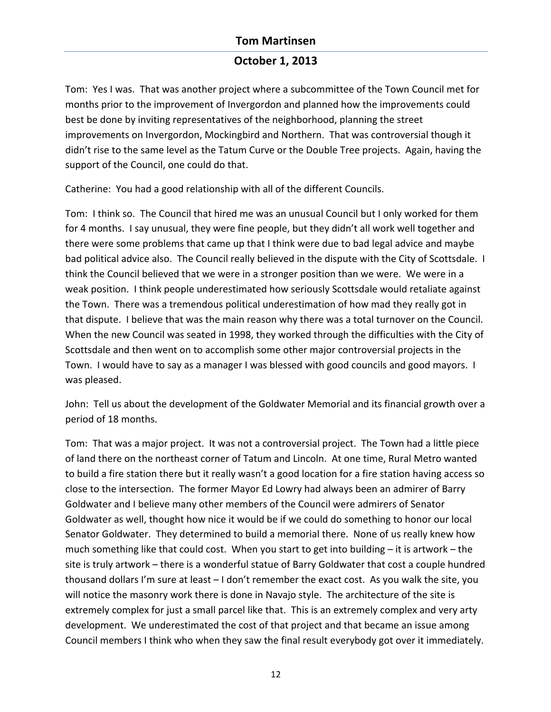## **October 1, 2013**

Tom: Yes I was. That was another project where a subcommittee of the Town Council met for months prior to the improvement of Invergordon and planned how the improvements could best be done by inviting representatives of the neighborhood, planning the street improvements on Invergordon, Mockingbird and Northern. That was controversial though it didn't rise to the same level as the Tatum Curve or the Double Tree projects. Again, having the support of the Council, one could do that.

Catherine: You had a good relationship with all of the different Councils.

Tom: I think so. The Council that hired me was an unusual Council but I only worked for them for 4 months. I say unusual, they were fine people, but they didn't all work well together and there were some problems that came up that I think were due to bad legal advice and maybe bad political advice also. The Council really believed in the dispute with the City of Scottsdale. I think the Council believed that we were in a stronger position than we were. We were in a weak position. I think people underestimated how seriously Scottsdale would retaliate against the Town. There was a tremendous political underestimation of how mad they really got in that dispute. I believe that was the main reason why there was a total turnover on the Council. When the new Council was seated in 1998, they worked through the difficulties with the City of Scottsdale and then went on to accomplish some other major controversial projects in the Town. I would have to say as a manager I was blessed with good councils and good mayors. I was pleased.

John: Tell us about the development of the Goldwater Memorial and its financial growth over a period of 18 months.

Tom: That was a major project. It was not a controversial project. The Town had a little piece of land there on the northeast corner of Tatum and Lincoln. At one time, Rural Metro wanted to build a fire station there but it really wasn't a good location for a fire station having access so close to the intersection. The former Mayor Ed Lowry had always been an admirer of Barry Goldwater and I believe many other members of the Council were admirers of Senator Goldwater as well, thought how nice it would be if we could do something to honor our local Senator Goldwater. They determined to build a memorial there. None of us really knew how much something like that could cost. When you start to get into building  $-$  it is artwork – the site is truly artwork – there is a wonderful statue of Barry Goldwater that cost a couple hundred thousand dollars I'm sure at least  $-1$  don't remember the exact cost. As you walk the site, you will notice the masonry work there is done in Navajo style. The architecture of the site is extremely complex for just a small parcel like that. This is an extremely complex and very arty development. We underestimated the cost of that project and that became an issue among Council members I think who when they saw the final result everybody got over it immediately.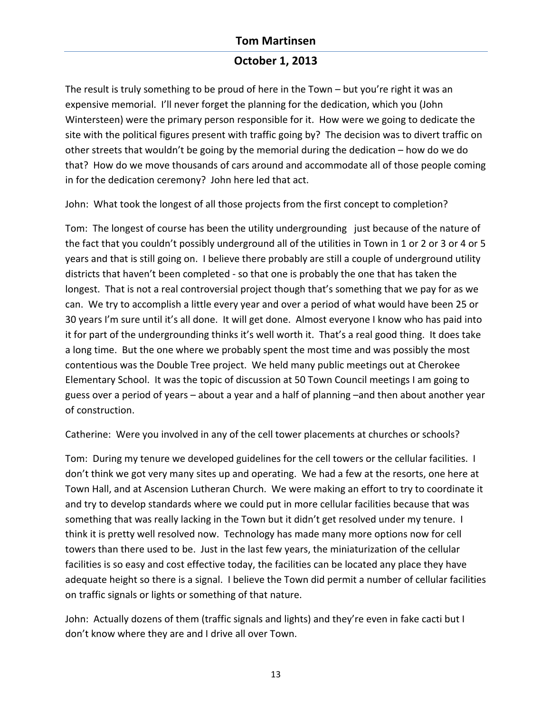# **October 1, 2013**

The result is truly something to be proud of here in the Town – but you're right it was an expensive memorial. I'll never forget the planning for the dedication, which you (John Wintersteen) were the primary person responsible for it. How were we going to dedicate the site with the political figures present with traffic going by? The decision was to divert traffic on other streets that wouldn't be going by the memorial during the dedication – how do we do that? How do we move thousands of cars around and accommodate all of those people coming in for the dedication ceremony? John here led that act.

John: What took the longest of all those projects from the first concept to completion?

Tom: The longest of course has been the utility undergrounding just because of the nature of the fact that you couldn't possibly underground all of the utilities in Town in 1 or 2 or 3 or 4 or 5 years and that is still going on. I believe there probably are still a couple of underground utility districts that haven't been completed - so that one is probably the one that has taken the longest. That is not a real controversial project though that's something that we pay for as we can. We try to accomplish a little every year and over a period of what would have been 25 or 30 years I'm sure until it's all done. It will get done. Almost everyone I know who has paid into it for part of the undergrounding thinks it's well worth it. That's a real good thing. It does take a long time. But the one where we probably spent the most time and was possibly the most contentious was the Double Tree project. We held many public meetings out at Cherokee Elementary School. It was the topic of discussion at 50 Town Council meetings I am going to guess over a period of years – about a year and a half of planning –and then about another year of construction.

Catherine: Were you involved in any of the cell tower placements at churches or schools?

Tom: During my tenure we developed guidelines for the cell towers or the cellular facilities. I don't think we got very many sites up and operating. We had a few at the resorts, one here at Town Hall, and at Ascension Lutheran Church. We were making an effort to try to coordinate it and try to develop standards where we could put in more cellular facilities because that was something that was really lacking in the Town but it didn't get resolved under my tenure. I think it is pretty well resolved now. Technology has made many more options now for cell towers than there used to be. Just in the last few years, the miniaturization of the cellular facilities is so easy and cost effective today, the facilities can be located any place they have adequate height so there is a signal. I believe the Town did permit a number of cellular facilities on traffic signals or lights or something of that nature.

John: Actually dozens of them (traffic signals and lights) and they're even in fake cacti but I don't know where they are and I drive all over Town.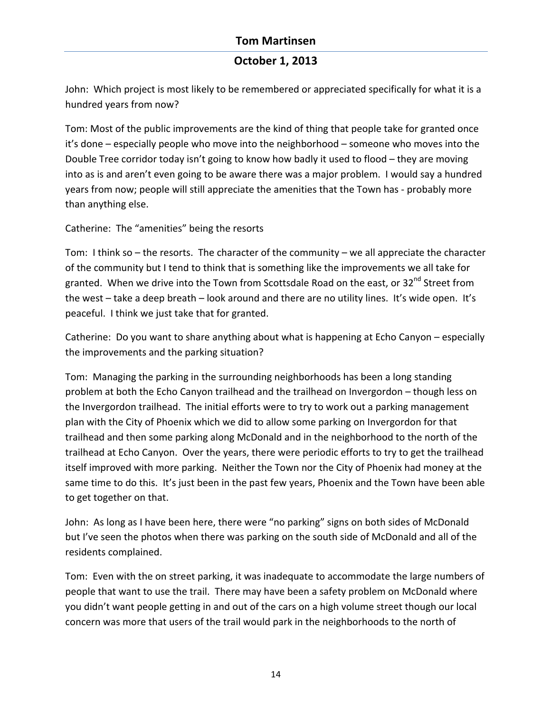# **October 1, 2013**

John: Which project is most likely to be remembered or appreciated specifically for what it is a hundred years from now?

Tom: Most of the public improvements are the kind of thing that people take for granted once it's done – especially people who move into the neighborhood – someone who moves into the Double Tree corridor today isn't going to know how badly it used to flood  $-$  they are moving into as is and aren't even going to be aware there was a major problem. I would say a hundred years from now; people will still appreciate the amenities that the Town has - probably more than anything else.

Catherine: The "amenities" being the resorts

Tom: I think so  $-$  the resorts. The character of the community  $-$  we all appreciate the character of the community but I tend to think that is something like the improvements we all take for granted. When we drive into the Town from Scottsdale Road on the east, or 32<sup>nd</sup> Street from the west – take a deep breath – look around and there are no utility lines. It's wide open. It's peaceful. I think we just take that for granted.

Catherine: Do you want to share anything about what is happening at Echo Canyon – especially the improvements and the parking situation?

Tom: Managing the parking in the surrounding neighborhoods has been a long standing problem at both the Echo Canyon trailhead and the trailhead on Invergordon – though less on the Invergordon trailhead. The initial efforts were to try to work out a parking management plan with the City of Phoenix which we did to allow some parking on Invergordon for that trailhead and then some parking along McDonald and in the neighborhood to the north of the trailhead at Echo Canyon. Over the years, there were periodic efforts to try to get the trailhead itself improved with more parking. Neither the Town nor the City of Phoenix had money at the same time to do this. It's just been in the past few years, Phoenix and the Town have been able to get together on that.

John: As long as I have been here, there were "no parking" signs on both sides of McDonald but I've seen the photos when there was parking on the south side of McDonald and all of the residents complained.

Tom: Even with the on street parking, it was inadequate to accommodate the large numbers of people that want to use the trail. There may have been a safety problem on McDonald where you didn't want people getting in and out of the cars on a high volume street though our local concern was more that users of the trail would park in the neighborhoods to the north of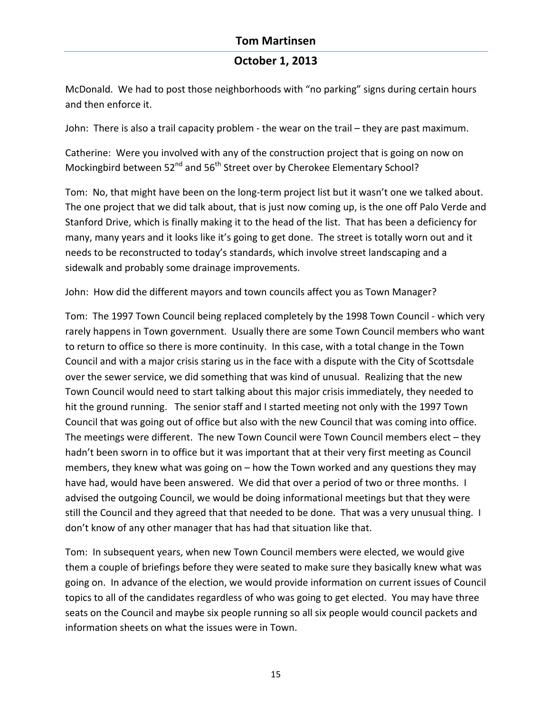# **October 1, 2013**

McDonald. We had to post those neighborhoods with "no parking" signs during certain hours and then enforce it.

John: There is also a trail capacity problem - the wear on the trail – they are past maximum.

Catherine: Were you involved with any of the construction project that is going on now on Mockingbird between  $52^{nd}$  and  $56^{th}$  Street over by Cherokee Elementary School?

Tom: No, that might have been on the long-term project list but it wasn't one we talked about. The one project that we did talk about, that is just now coming up, is the one off Palo Verde and Stanford Drive, which is finally making it to the head of the list. That has been a deficiency for many, many years and it looks like it's going to get done. The street is totally worn out and it needs to be reconstructed to today's standards, which involve street landscaping and a sidewalk and probably some drainage improvements.

John: How did the different mayors and town councils affect you as Town Manager?

Tom: The 1997 Town Council being replaced completely by the 1998 Town Council - which very rarely happens in Town government. Usually there are some Town Council members who want to return to office so there is more continuity. In this case, with a total change in the Town Council and with a major crisis staring us in the face with a dispute with the City of Scottsdale over the sewer service, we did something that was kind of unusual. Realizing that the new Town Council would need to start talking about this major crisis immediately, they needed to hit the ground running. The senior staff and I started meeting not only with the 1997 Town Council that was going out of office but also with the new Council that was coming into office. The meetings were different. The new Town Council were Town Council members elect  $-$  they hadn't been sworn in to office but it was important that at their very first meeting as Council members, they knew what was going on  $-$  how the Town worked and any questions they may have had, would have been answered. We did that over a period of two or three months. I advised the outgoing Council, we would be doing informational meetings but that they were still the Council and they agreed that that needed to be done. That was a very unusual thing. I don't know of any other manager that has had that situation like that.

Tom: In subsequent years, when new Town Council members were elected, we would give them a couple of briefings before they were seated to make sure they basically knew what was going on. In advance of the election, we would provide information on current issues of Council topics to all of the candidates regardless of who was going to get elected. You may have three seats on the Council and maybe six people running so all six people would council packets and information sheets on what the issues were in Town.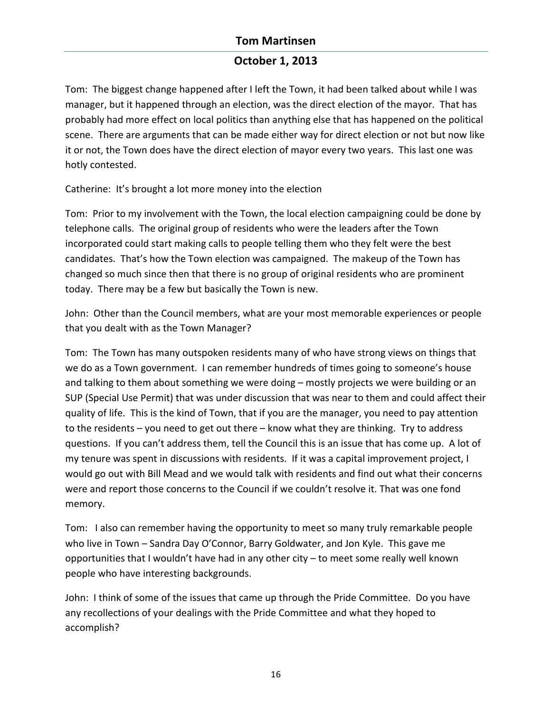# **October 1, 2013**

Tom: The biggest change happened after I left the Town, it had been talked about while I was manager, but it happened through an election, was the direct election of the mayor. That has probably had more effect on local politics than anything else that has happened on the political scene. There are arguments that can be made either way for direct election or not but now like it or not, the Town does have the direct election of mayor every two years. This last one was hotly contested.

Catherine: It's brought a lot more money into the election

Tom: Prior to my involvement with the Town, the local election campaigning could be done by telephone calls. The original group of residents who were the leaders after the Town incorporated could start making calls to people telling them who they felt were the best candidates. That's how the Town election was campaigned. The makeup of the Town has changed so much since then that there is no group of original residents who are prominent today. There may be a few but basically the Town is new.

John: Other than the Council members, what are your most memorable experiences or people that you dealt with as the Town Manager?

Tom: The Town has many outspoken residents many of who have strong views on things that we do as a Town government. I can remember hundreds of times going to someone's house and talking to them about something we were doing – mostly projects we were building or an SUP (Special Use Permit) that was under discussion that was near to them and could affect their quality of life. This is the kind of Town, that if you are the manager, you need to pay attention to the residents  $-$  you need to get out there  $-$  know what they are thinking. Try to address questions. If you can't address them, tell the Council this is an issue that has come up. A lot of my tenure was spent in discussions with residents. If it was a capital improvement project, I would go out with Bill Mead and we would talk with residents and find out what their concerns were and report those concerns to the Council if we couldn't resolve it. That was one fond memory.

Tom: I also can remember having the opportunity to meet so many truly remarkable people who live in Town – Sandra Day O'Connor, Barry Goldwater, and Jon Kyle. This gave me opportunities that I wouldn't have had in any other city  $-$  to meet some really well known people who have interesting backgrounds.

John: I think of some of the issues that came up through the Pride Committee. Do you have any recollections of your dealings with the Pride Committee and what they hoped to accomplish?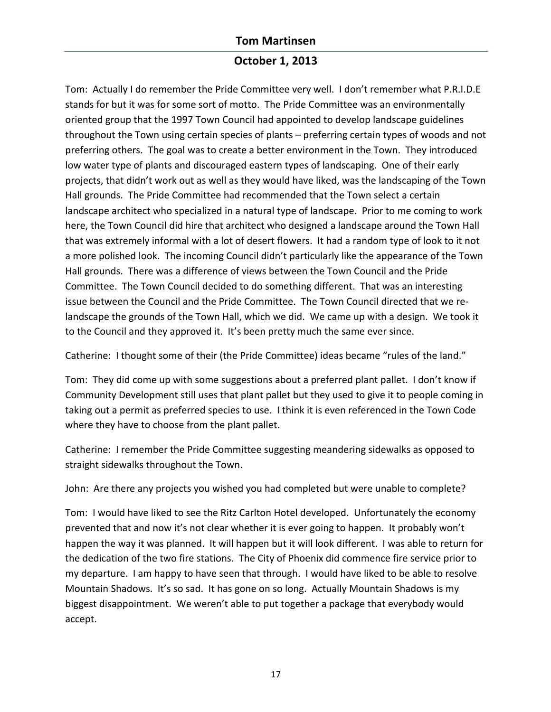## **October 1, 2013**

Tom: Actually I do remember the Pride Committee very well. I don't remember what P.R.I.D.E stands for but it was for some sort of motto. The Pride Committee was an environmentally oriented group that the 1997 Town Council had appointed to develop landscape guidelines throughout the Town using certain species of plants – preferring certain types of woods and not preferring others. The goal was to create a better environment in the Town. They introduced low water type of plants and discouraged eastern types of landscaping. One of their early projects, that didn't work out as well as they would have liked, was the landscaping of the Town Hall grounds. The Pride Committee had recommended that the Town select a certain landscape architect who specialized in a natural type of landscape. Prior to me coming to work here, the Town Council did hire that architect who designed a landscape around the Town Hall that was extremely informal with a lot of desert flowers. It had a random type of look to it not a more polished look. The incoming Council didn't particularly like the appearance of the Town Hall grounds. There was a difference of views between the Town Council and the Pride Committee. The Town Council decided to do something different. That was an interesting issue between the Council and the Pride Committee. The Town Council directed that we relandscape the grounds of the Town Hall, which we did. We came up with a design. We took it to the Council and they approved it. It's been pretty much the same ever since.

Catherine: I thought some of their (the Pride Committee) ideas became "rules of the land."

Tom: They did come up with some suggestions about a preferred plant pallet. I don't know if Community Development still uses that plant pallet but they used to give it to people coming in taking out a permit as preferred species to use. I think it is even referenced in the Town Code where they have to choose from the plant pallet.

Catherine: I remember the Pride Committee suggesting meandering sidewalks as opposed to straight sidewalks throughout the Town.

John: Are there any projects you wished you had completed but were unable to complete?

Tom: I would have liked to see the Ritz Carlton Hotel developed. Unfortunately the economy prevented that and now it's not clear whether it is ever going to happen. It probably won't happen the way it was planned. It will happen but it will look different. I was able to return for the dedication of the two fire stations. The City of Phoenix did commence fire service prior to my departure. I am happy to have seen that through. I would have liked to be able to resolve Mountain Shadows. It's so sad. It has gone on so long. Actually Mountain Shadows is my biggest disappointment. We weren't able to put together a package that everybody would accept.